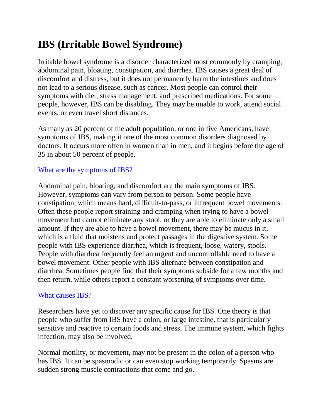# **IBS (Irritable Bowel Syndrome)**

Irritable bowel syndrome is a disorder characterized most commonly by cramping, abdominal pain, bloating, constipation, and diarrhea. IBS causes a great deal of discomfort and distress, but it does not permanently harm the intestines and does not lead to a serious disease, such as cancer. Most people can control their symptoms with diet, stress management, and prescribed medications. For some people, however, IBS can be disabling. They may be unable to work, attend social events, or even travel short distances.

As many as 20 percent of the adult population, or one in five Americans, have symptoms of IBS, making it one of the most common disorders diagnosed by doctors. It occurs more often in women than in men, and it begins before the age of 35 in about 50 percent of people.

## What are the symptoms of IBS?

Abdominal pain, bloating, and discomfort are the main symptoms of IBS. However, symptoms can vary from person to person. Some people have constipation, which means hard, difficult-to-pass, or infrequent bowel movements. Often these people report straining and cramping when trying to have a bowel movement but cannot eliminate any stool, or they are able to eliminate only a small amount. If they are able to have a bowel movement, there may be mucus in it, which is a fluid that moistens and protect passages in the digestive system. Some people with IBS experience diarrhea, which is frequent, loose, watery, stools. People with diarrhea frequently feel an urgent and uncontrollable need to have a bowel movement. Other people with IBS alternate between constipation and diarrhea. Sometimes people find that their symptoms subside for a few months and then return, while others report a constant worsening of symptoms over time.

## What causes IBS?

Researchers have yet to discover any specific cause for IBS. One theory is that people who suffer from IBS have a colon, or large intestine, that is particularly sensitive and reactive to certain foods and stress. The immune system, which fights infection, may also be involved.

Normal motility, or movement, may not be present in the colon of a person who has IBS. It can be spasmodic or can even stop working temporarily. Spasms are sudden strong muscle contractions that come and go.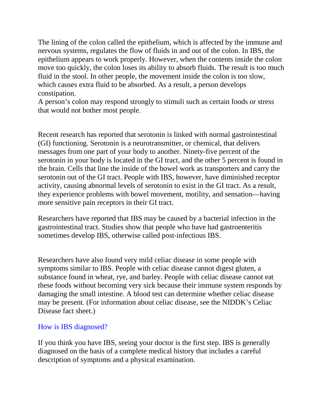The lining of the colon called the epithelium, which is affected by the immune and nervous systems, regulates the flow of fluids in and out of the colon. In IBS, the epithelium appears to work properly. However, when the contents inside the colon move too quickly, the colon loses its ability to absorb fluids. The result is too much fluid in the stool. In other people, the movement inside the colon is too slow, which causes extra fluid to be absorbed. As a result, a person develops constipation.

A person's colon may respond strongly to stimuli such as certain foods or stress that would not bother most people.

Recent research has reported that serotonin is linked with normal gastrointestinal (GI) functioning. Serotonin is a neurotransmitter, or chemical, that delivers messages from one part of your body to another. Ninety-five percent of the serotonin in your body is located in the GI tract, and the other 5 percent is found in the brain. Cells that line the inside of the bowel work as transporters and carry the serotonin out of the GI tract. People with IBS, however, have diminished receptor activity, causing abnormal levels of serotonin to exist in the GI tract. As a result, they experience problems with bowel movement, motility, and sensation—having more sensitive pain receptors in their GI tract.

Researchers have reported that IBS may be caused by a bacterial infection in the gastrointestinal tract. Studies show that people who have had gastroenteritis sometimes develop IBS, otherwise called post-infectious IBS.

Researchers have also found very mild celiac disease in some people with symptoms similar to IBS. People with celiac disease cannot digest gluten, a substance found in wheat, rye, and barley. People with celiac disease cannot eat these foods without becoming very sick because their immune system responds by damaging the small intestine. A blood test can determine whether celiac disease may be present. (For information about celiac disease, see the NIDDK's Celiac Disease fact sheet.)

## How is IBS diagnosed?

If you think you have IBS, seeing your doctor is the first step. IBS is generally diagnosed on the basis of a complete medical history that includes a careful description of symptoms and a physical examination.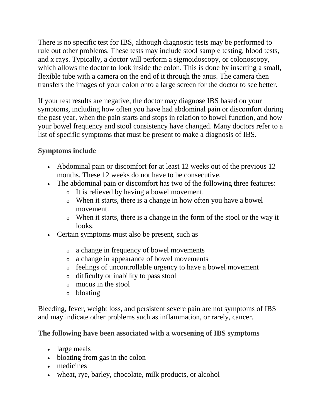There is no specific test for IBS, although diagnostic tests may be performed to rule out other problems. These tests may include stool sample testing, blood tests, and x rays. Typically, a doctor will perform a sigmoidoscopy, or colonoscopy, which allows the doctor to look inside the colon. This is done by inserting a small, flexible tube with a camera on the end of it through the anus. The camera then transfers the images of your colon onto a large screen for the doctor to see better.

If your test results are negative, the doctor may diagnose IBS based on your symptoms, including how often you have had abdominal pain or discomfort during the past year, when the pain starts and stops in relation to bowel function, and how your bowel frequency and stool consistency have changed. Many doctors refer to a list of specific symptoms that must be present to make a diagnosis of IBS.

# **Symptoms include**

- Abdominal pain or discomfort for at least 12 weeks out of the previous 12 months. These 12 weeks do not have to be consecutive.
- The abdominal pain or discomfort has two of the following three features:
	- <sup>o</sup> It is relieved by having a bowel movement.
	- <sup>o</sup> When it starts, there is a change in how often you have a bowel movement.
	- <sup>o</sup> When it starts, there is a change in the form of the stool or the way it looks.
- Certain symptoms must also be present, such as
	- <sup>o</sup> a change in frequency of bowel movements
	- <sup>o</sup> a change in appearance of bowel movements
	- <sup>o</sup> feelings of uncontrollable urgency to have a bowel movement
	- <sup>o</sup> difficulty or inability to pass stool
	- <sup>o</sup> mucus in the stool
	- <sup>o</sup> bloating

Bleeding, fever, weight loss, and persistent severe pain are not symptoms of IBS and may indicate other problems such as inflammation, or rarely, cancer.

## **The following have been associated with a worsening of IBS symptoms**

- large meals
- bloating from gas in the colon
- medicines
- wheat, rye, barley, chocolate, milk products, or alcohol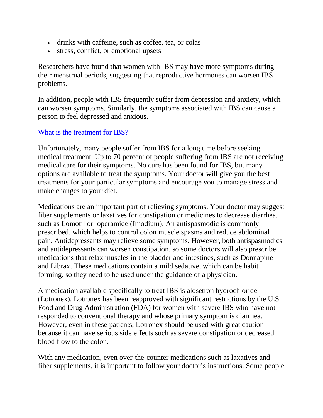- drinks with caffeine, such as coffee, tea, or colas
- stress, conflict, or emotional upsets

Researchers have found that women with IBS may have more symptoms during their menstrual periods, suggesting that reproductive hormones can worsen IBS problems.

In addition, people with IBS frequently suffer from depression and anxiety, which can worsen symptoms. Similarly, the symptoms associated with IBS can cause a person to feel depressed and anxious.

#### What is the treatment for IBS?

Unfortunately, many people suffer from IBS for a long time before seeking medical treatment. Up to 70 percent of people suffering from IBS are not receiving medical care for their symptoms. No cure has been found for IBS, but many options are available to treat the symptoms. Your doctor will give you the best treatments for your particular symptoms and encourage you to manage stress and make changes to your diet.

Medications are an important part of relieving symptoms. Your doctor may suggest fiber supplements or laxatives for constipation or medicines to decrease diarrhea, such as Lomotil or loperamide (Imodium). An antispasmodic is commonly prescribed, which helps to control colon muscle spasms and reduce abdominal pain. Antidepressants may relieve some symptoms. However, both antispasmodics and antidepressants can worsen constipation, so some doctors will also prescribe medications that relax muscles in the bladder and intestines, such as Donnapine and Librax. These medications contain a mild sedative, which can be habit forming, so they need to be used under the guidance of a physician.

A medication available specifically to treat IBS is alosetron hydrochloride (Lotronex). Lotronex has been reapproved with significant restrictions by the U.S. Food and Drug Administration (FDA) for women with severe IBS who have not responded to conventional therapy and whose primary symptom is diarrhea. However, even in these patients, Lotronex should be used with great caution because it can have serious side effects such as severe constipation or decreased blood flow to the colon.

With any medication, even over-the-counter medications such as laxatives and fiber supplements, it is important to follow your doctor's instructions. Some people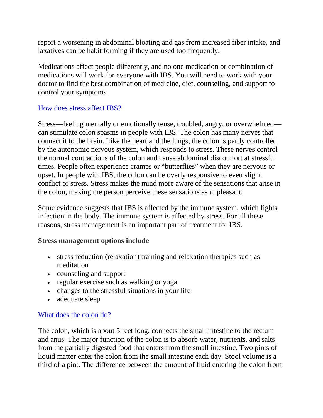report a worsening in abdominal bloating and gas from increased fiber intake, and laxatives can be habit forming if they are used too frequently.

Medications affect people differently, and no one medication or combination of medications will work for everyone with IBS. You will need to work with your doctor to find the best combination of medicine, diet, counseling, and support to control your symptoms.

# How does stress affect IBS?

Stress—feeling mentally or emotionally tense, troubled, angry, or overwhelmed can stimulate colon spasms in people with IBS. The colon has many nerves that connect it to the brain. Like the heart and the lungs, the colon is partly controlled by the autonomic nervous system, which responds to stress. These nerves control the normal contractions of the colon and cause abdominal discomfort at stressful times. People often experience cramps or "butterflies" when they are nervous or upset. In people with IBS, the colon can be overly responsive to even slight conflict or stress. Stress makes the mind more aware of the sensations that arise in the colon, making the person perceive these sensations as unpleasant.

Some evidence suggests that IBS is affected by the immune system, which fights infection in the body. The immune system is affected by stress. For all these reasons, stress management is an important part of treatment for IBS.

#### **Stress management options include**

- stress reduction (relaxation) training and relaxation therapies such as meditation
- counseling and support
- regular exercise such as walking or yoga
- changes to the stressful situations in your life
- adequate sleep

## What does the colon do?

The colon, which is about 5 feet long, connects the small intestine to the rectum and anus. The major function of the colon is to absorb water, nutrients, and salts from the partially digested food that enters from the small intestine. Two pints of liquid matter enter the colon from the small intestine each day. Stool volume is a third of a pint. The difference between the amount of fluid entering the colon from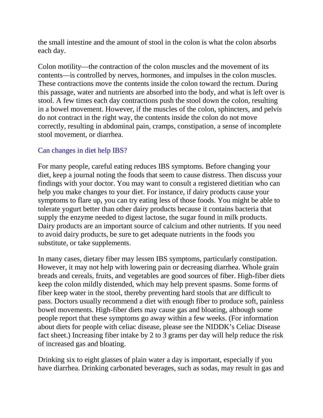the small intestine and the amount of stool in the colon is what the colon absorbs each day.

Colon motility—the contraction of the colon muscles and the movement of its contents—is controlled by nerves, hormones, and impulses in the colon muscles. These contractions move the contents inside the colon toward the rectum. During this passage, water and nutrients are absorbed into the body, and what is left over is stool. A few times each day contractions push the stool down the colon, resulting in a bowel movement. However, if the muscles of the colon, sphincters, and pelvis do not contract in the right way, the contents inside the colon do not move correctly, resulting in abdominal pain, cramps, constipation, a sense of incomplete stool movement, or diarrhea.

# Can changes in diet help IBS?

For many people, careful eating reduces IBS symptoms. Before changing your diet, keep a journal noting the foods that seem to cause distress. Then discuss your findings with your doctor. You may want to consult a registered dietitian who can help you make changes to your diet. For instance, if dairy products cause your symptoms to flare up, you can try eating less of those foods. You might be able to tolerate yogurt better than other dairy products because it contains bacteria that supply the enzyme needed to digest lactose, the sugar found in milk products. Dairy products are an important source of calcium and other nutrients. If you need to avoid dairy products, be sure to get adequate nutrients in the foods you substitute, or take supplements.

In many cases, dietary fiber may lessen IBS symptoms, particularly constipation. However, it may not help with lowering pain or decreasing diarrhea. Whole grain breads and cereals, fruits, and vegetables are good sources of fiber. High-fiber diets keep the colon mildly distended, which may help prevent spasms. Some forms of fiber keep water in the stool, thereby preventing hard stools that are difficult to pass. Doctors usually recommend a diet with enough fiber to produce soft, painless bowel movements. High-fiber diets may cause gas and bloating, although some people report that these symptoms go away within a few weeks. (For information about diets for people with celiac disease, please see the NIDDK's Celiac Disease fact sheet.) Increasing fiber intake by 2 to 3 grams per day will help reduce the risk of increased gas and bloating.

Drinking six to eight glasses of plain water a day is important, especially if you have diarrhea. Drinking carbonated beverages, such as sodas, may result in gas and